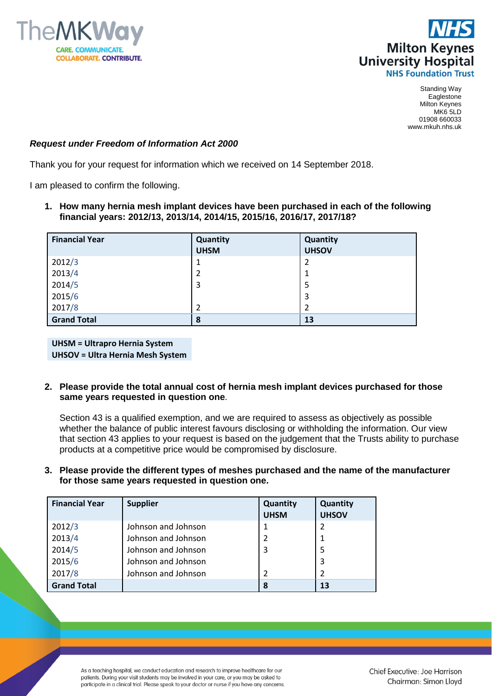



Standing Way Eaglestone Milton Keynes MK6 5LD 01908 660033 www.mkuh.nhs.uk

## *Request under Freedom of Information Act 2000*

Thank you for your request for information which we received on 14 September 2018.

I am pleased to confirm the following.

**1. How many hernia mesh implant devices have been purchased in each of the following financial years: 2012/13, 2013/14, 2014/15, 2015/16, 2016/17, 2017/18?**

| <b>Financial Year</b> | Quantity       | Quantity       |
|-----------------------|----------------|----------------|
|                       | <b>UHSM</b>    | <b>UHSOV</b>   |
| 2012/3                | 1              | $\overline{2}$ |
| 2013/4                | $\overline{2}$ | 1              |
| 2014/5                | 3              | 5              |
| 2015/6                |                | 3              |
| 2017/8                | $\overline{2}$ | $\overline{2}$ |
| <b>Grand Total</b>    | 8              | 13             |

**UHSM = Ultrapro Hernia System UHSOV = Ultra Hernia Mesh System**

**2. Please provide the total annual cost of hernia mesh implant devices purchased for those same years requested in question one**.

Section 43 is a qualified exemption, and we are required to assess as objectively as possible whether the balance of public interest favours disclosing or withholding the information. Our view that section 43 applies to your request is based on the judgement that the Trusts ability to purchase products at a competitive price would be compromised by disclosure.

**3. Please provide the different types of meshes purchased and the name of the manufacturer for those same years requested in question one.**

| <b>Financial Year</b> | <b>Supplier</b>     | Quantity    | Quantity     |
|-----------------------|---------------------|-------------|--------------|
|                       |                     | <b>UHSM</b> | <b>UHSOV</b> |
| 2012/3                | Johnson and Johnson |             | 2            |
| 2013/4                | Johnson and Johnson |             | 1            |
| 2014/5                | Johnson and Johnson | 3           | 5            |
| 2015/6                | Johnson and Johnson |             | 3            |
| 2017/8                | Johnson and Johnson |             | 2            |
| <b>Grand Total</b>    |                     | 8           | 13           |

As a teaching hospital, we conduct education and research to improve healthcare for our patients. During your visit students may be involved in your care, or you may be asked to participate in a clinical trial. Please speak to your doctor or nurse if you have any concerns.